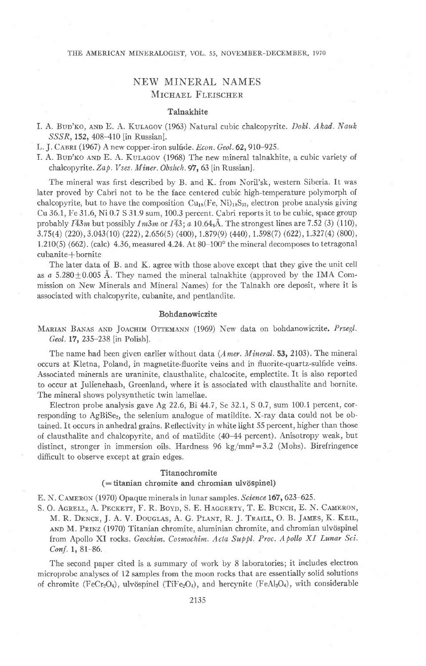#### THE AMERICAN MINERALOGIST, VOL. 55, NOVEMBER-DECEMBER, 1970

# NEW MINERAL NAMES MICHAEL FLEISCHER

### Talnakhite

I. A. BUD'KO, AND E. A. KULAGOV (1963) Natural cubic chalcopyrite. Dokl. Akad. Nauk SSSR, 152, 408-410 [in Russian].

L. J. CABRI (1967) A new copper-iron sulfide. Econ. Geol. 62, 910-925.

I. A. Bup'ko AND E. A. Kulagov (1968) The new mineral talnakhite, a cubic variety of chalcopyrite. Zap. Vses. Miner. Obshch. 97, 63 [in Russian].

The mineral was first described by B. and K. from Noril'sk, western Siberia. It was later proved by Cabri not to be the face centered cubic high-temperature polymorph of chalcopyrite, but to have the composition  $Cu<sub>16</sub>(Fe, Ni)<sub>18</sub>S<sub>32</sub>$ , electron probe analysis giving Cu 36.1, Fe 31.6, Ni 0.7 S 31.9 sum, 100.3 percent. Cabri reports it to be cubic, space group probably  $I\overline{43}m$  but possibly  $Im3m$  or  $I\overline{43}$ ; a 10 64<sub>8</sub>Å. The strongest lines are 7.52 (3) (110),  $3.75(4)$  (220),  $3.043(10)$  (222),  $2.656(5)$  (400),  $1.879(9)$  (440),  $1.598(7)$  (622),  $1.327(4)$  (800), 1.210(5) (662). (calc) 4.36, measured 4.24. At  $80-100^\circ$  the mineral decomposes to tetragonal cubanite+bornite

The later data of B. and K. agree with those above except that they give the unit cell as  $a$  5.280  $\pm$  0.005 Å. They named the mineral talnakhite (approved by the IMA Commission on New Minerals and Mineral Names) for the Talnakh ore deposit, where it is associated with chalcopyrite, cubanite, and pentlandite.

#### Bohdanowiczite

MARIAN BANAS AND JOACHIM OTTEMANN (1969) New data on bohdanowiczite. Przegl. Geol. 17, 235-238 [in Polish].

The name had been given earlier without data  $(A$ *mer. Mineral*. 53, 2103). The mineral occurs at Kletna, Poland, in magnetite-fluorite veins and in fluorite-quartz-sulfide veins. Associated minerals are uraninite, clausthalite, chalcocite, emplectite. It is also reported to occur at Julienehaab, Greenland, where it is associated with clausthalite and bornite. The mineral shows polysynthetic twin lamellae.

Electron probe analysis gave Ag  $22.6$ , Bi  $44.7$ , Se  $32.1$ , S  $0.7$ , sum 100.1 percent, corresponding to AgBiSe<sub>2</sub>, the selenium analogue of matildite. X-ray data could not be obtained. It occurs in anhedral grains. Reflectivity in white iight 55 percent, higher than those of clausthalite and chalcopyrite, and of matildite (40-44 percent). Anisotropy weak, but distinct, stronger in immersion oils. Hardness 96 kg/mm<sup>2</sup>=3.2 (Mohs). Birefringence difficult to observe except at grain edges.

#### Titanochromite

#### $($  = titanian chromite and chromian ulvöspinel)

E. N. CAMERON (1970) Opaque minerals in lunar samples. Science 167, 623-625.

S. O. AGRELL, A. PECKETT, F. R. BOYD, S. E. HAGGERTY, T. E. BUNCH, E. N. CAMERON, M. R. DENCE, J. A. V. DOUGLAS, A. G. PLANT, R. J. TRAILL, O. B. JAMES, K. KEIL, AND M. PRINZ (1970) Titanian chromite, aluminian chromite, and chromian ulvöspinel from Apollo XI rocks. Geochim. Cosmochim. Acta Suppl. Proc. Apollo XI Lunar Sci.  $Conf. 1, 81-86.$ 

The second paper cited is a summary of work by 8 laboratories; it includes electron microprobe analyses of 12 samples from the moon rocks that are essentially solid solutions of chromite (FeCr<sub>2</sub>O<sub>4</sub>), ulvöspinel (TiFe<sub>2</sub>O<sub>4</sub>), and hercynite (FeAl<sub>2</sub>O<sub>4</sub>), with considerable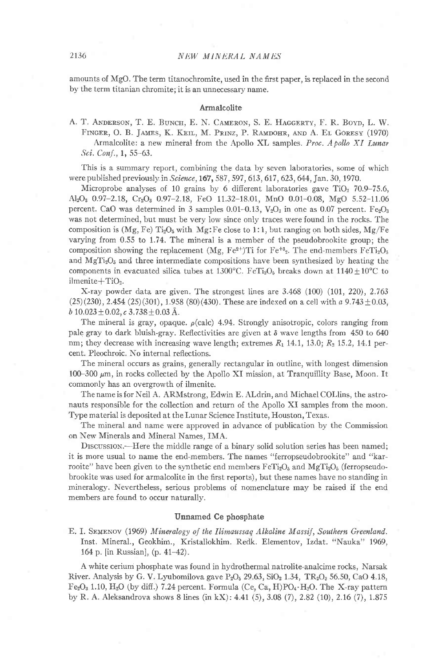amounts of MgO. The term titanochromite, used in the first paper, is replaced in the second by the term titanian chromite; it is an unnecessary name.

### Armalcolite

A. T. ANDERSON, T. E. BUNCH, E. N. CAMERON, S. E. HAGGERTY, F. R. BOYD, L. W. FINGER, O. B. JAMES, K. KEIL, M. PRINZ, P. RAMDOHR, AND A. EL GORESY (1970) Armalcolite: a new mineral from the Apollo XL samples. Proc. A pollo XI Lunar Sci. Conf., 1, 55-63.

'fhis is a summary report, combining the data by seven laboratories, some of which were published previously in Science, 167, 587, 597, 613, 617, 623, 644, Jan. 30, 1970.

Microprobe analyses of 10 grains by 6 different laboratories gave  $TiO<sub>2</sub>$  70.9–75.6, AlzOz 0.97-2.18, CrzOa O.97-2.18, FeO 11.32-18.01, MnO 0.01-0.08, MgO 5.52-11.06 percent. CaO was determined in 3 samples 0.01-0.13,  $V_2O_3$  in one as 0.07 percent. Fe<sub>2</sub>O<sub>3</sub> was not determined, but must be very low since only traces were found in the rocks. The composition is  $(Mg, Fe)$  Ti<sub>2</sub>O<sub>6</sub> with Mg:Fe close to 1:1, but ranging on both sides, Mg/Fe varying from  $0.55$  to  $1.74$ . The mineral is a member of the pseudobrookite group; the composition showing the replacement (Mg, Fe<sup>2+</sup>)Ti for Fe<sup>+3</sup><sub>2</sub>. The end-members FeT<sub>12</sub>O<sub>5</sub> and  $\text{MgTi}_2\text{O}_5$  and three intermediate compositions have been synthesized by heating the components in evacuated silica tubes at  $1300^{\circ}$ C. FeTi<sub>2</sub>O<sub>5</sub> breaks down at  $1140 \pm 10^{\circ}$ C to ilmenite+TiO2.

X-ray powder data are given. The strongest lines are 3.468 (100) (1O1,22O),2.763  $(25)(230)$ , 2.454  $(25)(301)$ , 1.958  $(80)(430)$ . These are indexed on a cell with a 9.743  $\pm$ 0.03,  $b\ 10.023 \pm 0.02$ ,  $c\ 3.738 \pm 0.03$  Å.

The mineral is gray, opaque.  $\rho$ (calc) 4.94. Strongly anisotropic, colors ranging from pale gray to dark bluish-gray. Reflectivities are given at  $\delta$  wave lengths from 450 to 640 nm; they decrease with increasing wave length; extremes  $R_1$  14.1, 13.0;  $R_2$  15.2, 14.1 percent. Pleochroic. No internal reflections.

The mineral occurs as grains, generally rectangular in outline, with longest dimension 100-300  $\mu$ m, in rocks collected by the Apollo XI mission, at Tranquillity Base, Moon. It commonly has an overgrowth of ilmenite.

The name is for Neil A. ARMstrong, Edwin E. Aldrin, and Michael COLIins, the astronauts responsible for the collection and return of the Apollo XI samples from the moon. Type material is deposited at the Lunar Science Institute, Houston, Texas.

The mineral and name were approved in advance of publication by the Commission on New Minerals and Mineral Names, IMA.

DISCUSSION.—Here the middle range of a binary solid solution series has been named; it is more usual to name the end-members. The names "ferropseudobrookite" and "karrooite" have been given to the synthetic end members  $F \in Ti<sub>2</sub>O<sub>5</sub>$  (and  $Mg Ti<sub>2</sub>O<sub>5</sub>$  (ferropseudobrookite was used for armalcolite in the first reports), but these names have no standing in mineralogy. Nevertheless, serious problems of nomenclature may be raised if the end members are found to occur naturallv.

#### Unnamed Ce phosphate

E. I. SEMENOV (1969) Mineralogy of the Ilimaussaq Alkaline Massif, Southern Greenland. Inst. Mineral., Geokhim., Kristallokhim. Redk. Elementov, Izdat. "Nauka" 1969, 164 p. [in Russian], (p. 41–42).

A white cerium phosphate was found in hydrothermal natrolite-analcime rocks, Narsak River. Analysis by G. V. Lyubomilova gave  $P_2O_5$  29.63, SiO<sub>2</sub> 1.34, TR<sub>2</sub>O<sub>3</sub> 56.50, CaO 4.18,  $Fe<sub>2</sub>O<sub>3</sub>$  1.10,  $H<sub>2</sub>O$  (by diff.) 7.24 percent. Formula (Ce, Ca, H)PO<sub>4</sub> $\cdot$ H<sub>2</sub>O. The X-ray pattern by R. A. Aleksandrova shows 8 lines (in kX) : 4.41 (5), 3.08 (7), 2.82 (10), 2.16 (7), 1.875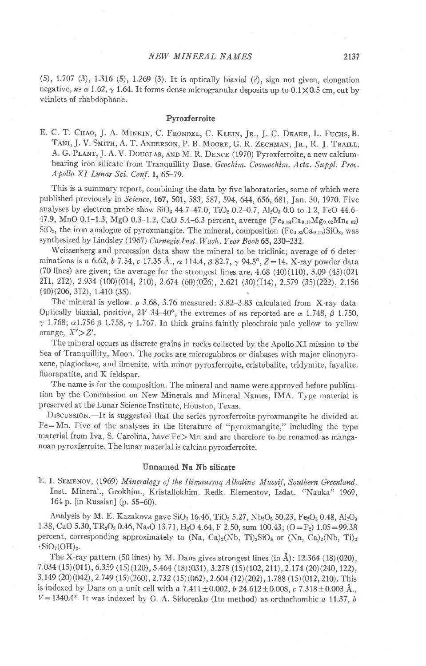(5), 1.707 (3), 1.316 (5),1.269 (3). It is optically biaxial (?), sign nor given, elongation negative, ns  $\alpha$  1.62,  $\gamma$  1.64. It forms dense microgranular deposits up to 0.1 $\times$ 0.5 cm, cut by veinlets of rhabdophane.

### Pyroxferroite

E. C. T. CHAO, J. A. MINKIN, C. FRONDEL, C. KLEIN, JR., J. C. DRAKE, L. FUCHS, B. TANI, J. V. SMITH, A. T. ANDERSON, P. B. MOORE, G. R. ZECHMAN, JR., R. J. TRAILL, A. G. PLANT, J. A. V. DOUGLAS, AND M. R. DENCE (1970) Pyroxferroite, a new calciumbearing iron silicate from Tranquillity Base. Geochim. Cosmochim. Acta. Suppl. Proc. A pollo XI Lunar Sci. Conf. 1, 65-79.

This is a summary report, combining the data by five laboratories, some of which were published previously in Science, 167, 501, 583, 587, 594, 644, 656, 681, Jan. 30, 1970. Five analyses by electron probe show SiO<sub>2</sub> 44.7-47.0, TiO<sub>2</sub> 0.2-0.7, Al<sub>2</sub>O<sub>3</sub> 0.0 to 1.2, FeO 44.6-47.9, MnO 0.1-1.3, MgO 0.3-1.2, CaO 5.4-6.3 percent, average (Fe<sub>0 84</sub>Ca<sub>0.13</sub>Mg<sub>0.02</sub>Mn<sub>0.02</sub>) SiO<sub>3</sub>, the iron analogue of pyroxmangite. The mineral, composition (Fe<sub>0 85</sub>Ca<sub>0.15</sub>)SiO<sub>3</sub>, was synthesized by Lindsley (1967) Carnegie Inst. Wash. Year Book 65, 230-232.

Weissenberg and precession data show the mineral to be triclinic; average of 6 determinations is a 6.62, b 7.54, c 17.35 Å.,  $\alpha$  114.4,  $\beta$  82.7,  $\gamma$  94.5°, Z=14. X-ray powder data (70 lines) are given; the average for the strongest lines are,  $4.68 \ (40)(110)$ ,  $3.09 \ (45)(021)$ 21r, 212) , 2.934 (100) (014 , 210), 2.67 4(60) (026), 2.62r (30) (114), 2.579 (35)(222), 2.156  $(40)(206, 3\overline{1}2), 1.410(35).$ 

The mineral is yellow.  $\rho$  3.68, 3.76 measured: 3.82-3.83 calculated from X-ray data. Optically biaxial, positive, 2V 34-40°, the extremes of  $n_s$  reported are  $\alpha$  1.748,  $\beta$  1.750,  $\gamma$  1.768;  $\alpha$ 1.756  $\beta$  1.758,  $\gamma$  1.767. In thick grains faintly pleochroic pale yellow to yellow orange,  $X' \geq Z'$ .

The mineral occurs as discrete grains in rocks collected by the Apollo XI mission to the Sea of Tranquillity, Moon. The rocks are microgabbros or diabases with major clinopyroxene, plagioclase, and ilmenite, with minor pyroxferroite, cristobalite, tridymite, fayalite, fluorapatite, and K feldspar.

The name is for the composition. The mineral and name were approved before publica tion by the Commission on New Minerals and Mineral Names, IMA Type material is preserved at the Lunar Science Institute, Houston. Texas

DISCUSSION. It is suggested that the series pyroxferroite-pyroxmangite be divided at  $Fe=Mn$ . Five of the analyses in the literature of "pyroxmangite," including the type material from Iva, S. Carolina, have Fe>Mn and are therefore to be renamed as manganoan pyroxferroite. The lunar material is calcian pyroxferroite.

#### Unnamed Na Nb silicate

E. I. SEMENOV, (1969) Mineralogy of the Ilimaussaq Alkaline Massif, Southern Greenland. Inst. Mineral., Geokhim., Kristallokhim. Redk. Elementov, Izdat. "Nauka" 1969, 164 p. [in Russian] (p. 55-60).

Analysis by M. E. Kazakova gave SiO<sub>2</sub> 16.46, TiO<sub>2</sub> 5.27, Nb<sub>2</sub>O<sub>5</sub> 50.23, Fe<sub>2</sub>O<sub>3</sub> 0.48, Al<sub>2</sub>O<sub>3</sub> 1.38, CaO 5.30, TR<sub>2</sub>O<sub>3</sub> 0.46, Na<sub>2</sub>O 13.71, H<sub>2</sub>O 4.64, F 2.50, sum 100.43; (O=F<sub>2</sub>) 1.05=99.38 percent, corresponding approximately to  $(Na, Ca)_2(Nb, Ti)_2SiO_8$  or  $(Na, Ca)_2(Nb, Ti)_2$  $\cdot$ SiO<sub>7</sub>(OH)<sub>2</sub>.

The X-ray pattern (50 lines) by M. Dans gives strongest lines (in  $\check{A}$ ): 12.364 (18)(020),  $7.034$  (15)(011), 6.359 (15)(120), 5.464 (18)(031), 3.278 (15)(102, 211), 2.174 (20)(240, 122), 3.149 (20)(042), 2.749 (15)(260), 2.732 (15)(062), 2.604 (12)(202), 1.788 (15)(012, 210). This is indexed by Dans on a unit cell with  $a \, 7.411 \pm 0.002$ ,  $b \, 24.612 \pm 0.008$ ,  $c \, 7.318 \pm 0.003$  Å.,  $V = 1340A<sup>3</sup>$ . It was indexed by G. A. Sidorenko (Ito method) as orthorhombic a 11.37, b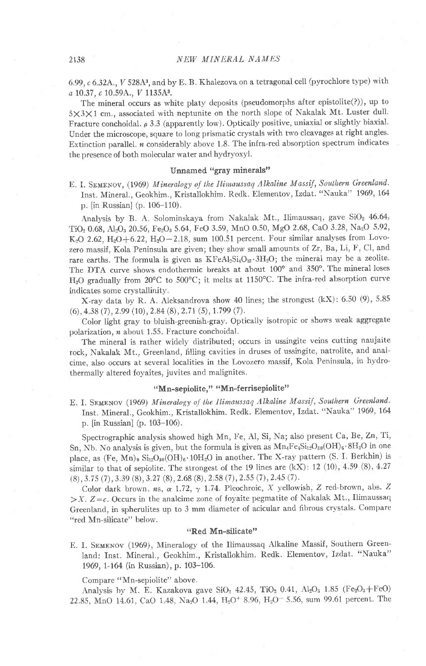6.99,  $c$  6.32A.,  $V$  528A3, and by E. B. Khalezova on a tetragonal cell (pyrochlore type) with a 10.37, c 10.59A., V 1135A3.

The mineral occurs as white platy deposits (pseudomorphs after epistolite $(?)$ ), up to 5X3X1 cm., associated with neptunite on the north slope of Nakalak Mt. Luster dull. Fracture conchoidal.  $\rho$  3.3 (apparently low). Optically positive, uniaxial or slightly biaxial. Under the microscope, square to long prismatic crystals with two cleavages at right angles. Extinction parallel.  $n$  considerably above 1.8. The infra-red absorption spectrum indicates the presence of both molecular water and hydryoxyl.

# Unnamed "gray minerals"

E. I. SEMENOV, (1969) Mineralogy of the Ilimaussaq Alkaline Massif, Southern Greenland. Inst. Mineral., Geokhim., Kristallokhim. Redk. Elementov, Izdat. "Nauka" 1969,164 p. fin Russian] (p. 106-110).

Analysis by B. A. Solominskaya from Nakalak Mt., Ilimaussaq, gave SiO<sub>2</sub> 46.64, TiO<sub>2</sub> 0.68, Al<sub>2</sub>O<sub>3</sub> 20.56, Fe<sub>2</sub>O<sub>3</sub> 5.64, FeO 3.59, MnO 0.50, MgO 2.68, CaO 3.28, Na<sub>2</sub>O 5.92, K<sub>2</sub>O 2.62, H<sub>2</sub>O+6.22, H<sub>2</sub>O-2.18, sum 100.51 percent. Four similar analyses from Lovozero massif, Kola Peninsula are given; they show small amounts of Zr, Ba, Li, F, Cl, and rare earths. The formula is given as KFeAl2Si4O13.3H2O; the mineral may be a zeolite. The DTA curve shows endothermic breaks at about 100° and 350°. The mineral loses H<sub>2</sub>O gradually from 20°C to 500°C; it melts at 1150°C. The infra-red absorption curve indicates some crystallinity.

X-ray data by R. A. Aleksandrova show 40 lines; the strongest  $(kX)$ : 6.50 (9), 5.85  $(6)$ , 4.38 (7), 2.99 (10), 2.84 (8), 2.71 (5), 1.799 (7).

Color light gray to bluish-greenish-gray. Optically isotropic or shows weak aggregate polarization, n about 1.55. Fracture conchoidal.

The mineral is rather widely distributed; occurs in ussingite veins cutting naujaite rock, Nakalak Mt., Greenland, filling cavities in druses of ussingite, natrolite, and analcime, also occurs at several localities in the Lovozero massif, Kola Peninsula, in hydrothermally altered foyaites, juvites and malignites.

### "Mn-sepiolite," "Mn-ferrisepiolite"

E. I. SEMENOV (1969) Mineralogy of the Ilimaussaq Alkaline Massif, Southern Greenland. Inst. Mineral., Geokhim., Kristallokhim. Redk. Elementov, Izdat. "Nauka" 1969, 164 p. fin Russian] (p. 103-106).

Spectrographic analysis showed high Mn, Fe, Al, Si, Na; also present Ca, Be, Zn, Ti, Sn, Nb. No analysis is given, but the formula is given as  $Mn_4Fe_4Si_{12}O_{30}(OH)_6.8H_2O$  in one place, as  $(Fe, Mn)_9 Si_{12}O_{30}(OH)_6.10H_2O$  in another. The X-ray pattern (S. I. Berkhin) is similar to that of sepiolite. The strongest of the 19 lines are  $(kX)$ : 12 (10), 4.59 (8), 4.27  $(8), 3.75 (7), 3.39 (8), 3.27 (8), 2.68 (8), 2.58 (7), 2.55 (7), 2.45 (7).$ 

Color dark brown, ns,  $\alpha$  1.72,  $\gamma$  1.74. Pleochroic, X yellowish, Z red-brown, abs. Z  $>X. Z=c.$  Occurs in the analcime zone of foyaite pegmatite of Nakalak Mt., Ilimaussaq Greenland, in spherulites up to 3 mm diameter of acicular and fibrous crystals. Compare "red Mn-silicate" below.

### "Red Mn-silicate"

E. I. SEMENOV (1969), Mineralogy of the Ilimaussaq Alkaline Massif, Southern Greenland: Inst. Mineral., Geokhim., Kristallokhim. Redk. Elementov, Izdat. "Nauka" 1969, l-164 (in Russian), p. 103-106.

Compare "Mn-sepiolite" above.

Analysis by M. E. Kazakova gave SiO<sub>2</sub> 42.45, TiO<sub>2</sub> 0.41, Al<sub>2</sub>O<sub>3</sub> 1.85 (Fe<sub>2</sub>O<sub>3</sub>+FeO) 22.85, MnO 14.61, CaO 1.48, Na<sub>2</sub>O 1.44, H<sub>2</sub>O<sup>+</sup> 8.96, H<sub>2</sub>O<sup>-</sup> 5.56, sum 99.61 percent. The